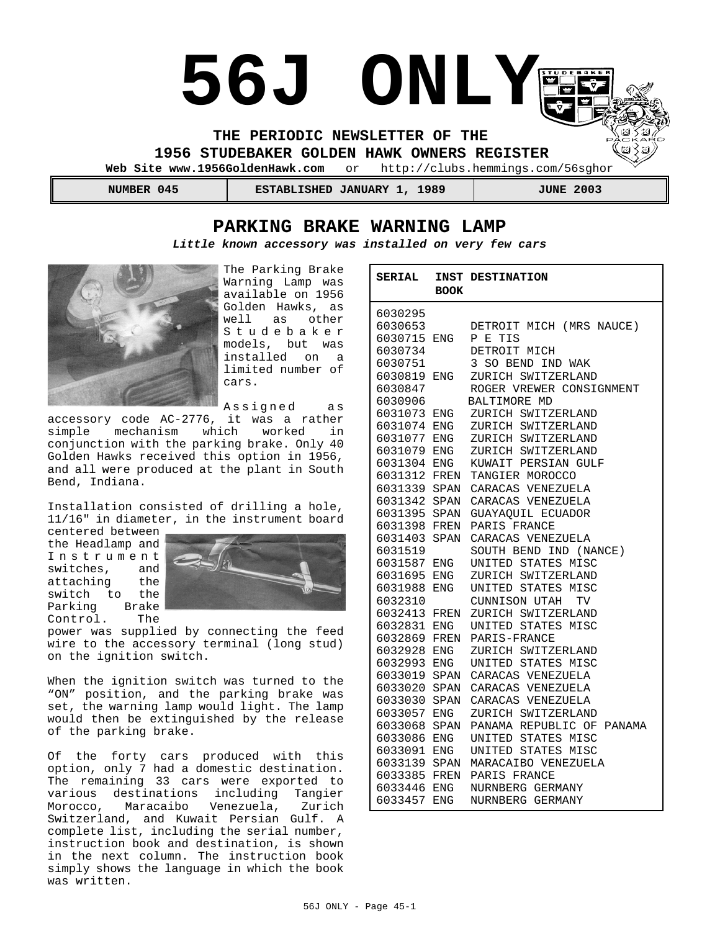# **56J ONLY**

**THE PERIODIC NEWSLETTER OF THE** 

**1956 STUDEBAKER GOLDEN HAWK OWNERS REGISTER**<br>Web Site www.1956GoldenHawk.com or http://clubs.hemmings.co

or http://clubs.hemmings.com/56sghor

| 045    | 1989                       | 2003        |
|--------|----------------------------|-------------|
| NUMBER | <b>ESTABLISHED JANUARY</b> | <b>JUNE</b> |

# **PARKING BRAKE WARNING LAMP**

*Little known accessory was installed on very few cars*



The Parking Brake Warning Lamp was available on 1956 Golden Hawks, as well as other Studebaker models, but was installed on a limited number of cars.

Assigned as

accessory code AC-2776, it was a rather mechanism which worked in conjunction with the parking brake. Only 40 Golden Hawks received this option in 1956, and all were produced at the plant in South Bend, Indiana.

Installation consisted of drilling a hole, 11/16" in diameter, in the instrument board

centered between the Headlamp and Instrument switches, and<br>attaching the attaching switch to the<br>Parking Brake Parking Brake<br>Control. The Control.



power was supplied by connecting the feed wire to the accessory terminal (long stud) on the ignition switch.

When the ignition switch was turned to the "ON" position, and the parking brake was set, the warning lamp would light. The lamp would then be extinguished by the release of the parking brake.

Of the forty cars produced with this option, only 7 had a domestic destination. The remaining 33 cars were exported to various destinations including Tangier Morocco, Maracaibo Venezuela, Zurich Switzerland, and Kuwait Persian Gulf. A complete list, including the serial number, instruction book and destination, is shown in the next column. The instruction book simply shows the language in which the book was written.

| <b>SERIAL</b> | <b>BOOK</b> | INST DESTINATION             |  |
|---------------|-------------|------------------------------|--|
| 6030295       |             |                              |  |
| 6030653       |             | DETROIT MICH (MRS NAUCE)     |  |
| 6030715       | ENG         | P E TIS                      |  |
| 6030734       |             | DETROIT MICH                 |  |
| 6030751       |             | 3<br>SO BEND IND WAK         |  |
| 6030819       | ENG         | ZURICH SWITZERLAND           |  |
| 6030847       |             | ROGER VREWER CONSIGNMENT     |  |
| 6030906       |             | BALTIMORE MD                 |  |
| 6031073       |             | ENG ZURICH SWITZERLAND       |  |
| 6031074       | ENG         | ZURICH SWITZERLAND           |  |
| 6031077       | ENG         | ZURICH SWITZERLAND           |  |
| 6031079       | ${\rm ENG}$ | ZURICH SWITZERLAND           |  |
| 6031304       | ENG         | KUWAIT PERSIAN GULF          |  |
| 6031312       |             | FREN TANGIER MOROCCO         |  |
| 6031339       |             | SPAN CARACAS VENEZUELA       |  |
| 6031342       |             | SPAN CARACAS VENEZUELA       |  |
| 6031395       |             | SPAN GUAYAQUIL ECUADOR       |  |
| 6031398       | FREN        | PARIS FRANCE                 |  |
| 6031403       | SPAN        | CARACAS VENEZUELA            |  |
| 6031519       |             | SOUTH BEND IND (NANCE)       |  |
| 6031587       | ENG         | UNITED STATES MISC           |  |
| 6031695       | ENG         | ZURICH SWITZERLAND           |  |
| 6031988       | <b>ENG</b>  | UNITED STATES MISC           |  |
| 6032310       |             | CUNNISON UTAH<br>TV          |  |
| 6032413       |             | FREN ZURICH SWITZERLAND      |  |
| 6032831       | ENG         | UNITED STATES MISC           |  |
| 6032869       | FREN        | PARIS-FRANCE                 |  |
| 6032928       | <b>ENG</b>  | ZURICH SWITZERLAND           |  |
| 6032993       | ENG         | UNITED STATES MISC           |  |
| 6033019       | SPAN        | CARACAS VENEZUELA            |  |
| 6033020       |             | SPAN CARACAS VENEZUELA       |  |
| 6033030       | SPAN        | CARACAS VENEZUELA            |  |
| 6033057       | ENG         | ZURICH SWITZERLAND           |  |
| 6033068       | SPAN        | PANAMA REPUBLIC OF<br>PANAMA |  |
| 6033086       | ENG         | UNITED STATES MISC           |  |
| 6033091       | ENG         | UNITED STATES MISC           |  |
| 6033139       |             | SPAN MARACAIBO VENEZUELA     |  |
| 6033385       | FREN        | PARIS FRANCE                 |  |
| 6033446       | ENG         | NURNBERG GERMANY             |  |
| 6033457       | ENG         | NURNBERG GERMANY             |  |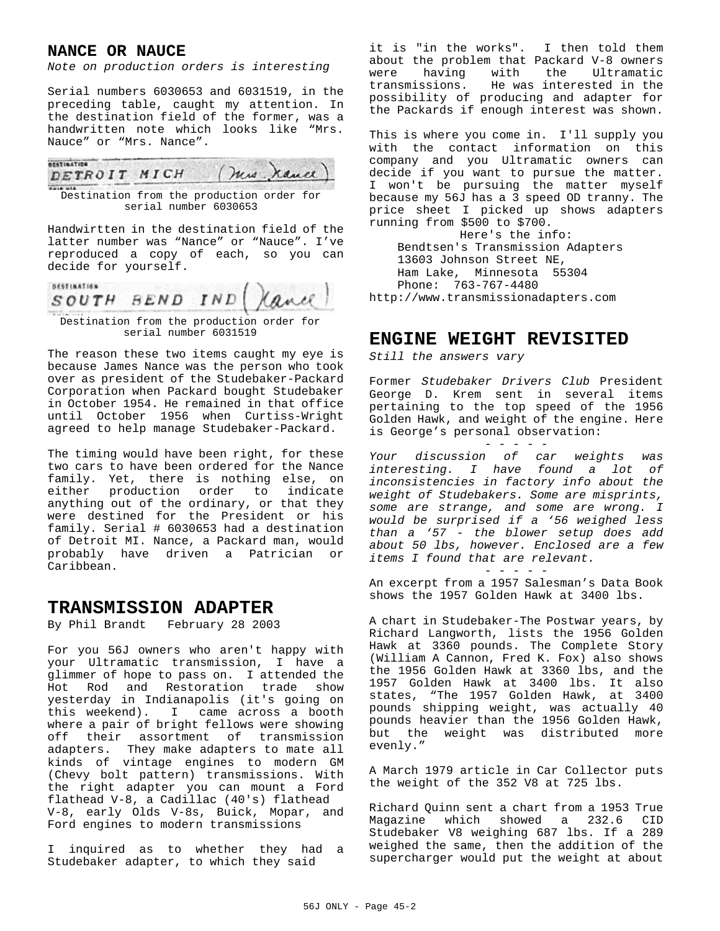## **NANCE OR NAUCE**

*Note on production orders is interesting*

Serial numbers 6030653 and 6031519, in the preceding table, caught my attention. In the destination field of the former, was a handwritten note which looks like "Mrs. Nauce" or "Mrs. Nance".



Destination from the production order for serial number 6030653

Handwirtten in the destination field of the latter number was "Nance" or "Nauce". I've reproduced a copy of each, so you can decide for yourself.

**DESTINATION** SOUTH BEND IND

Destination from the production order for serial number 6031519

The reason these two items caught my eye is because James Nance was the person who took over as president of the Studebaker-Packard Corporation when Packard bought Studebaker in October 1954. He remained in that office until October 1956 when Curtiss-Wright agreed to help manage Studebaker-Packard.

The timing would have been right, for these two cars to have been ordered for the Nance family. Yet, there is nothing else, on either production order to indicate anything out of the ordinary, or that they were destined for the President or his family. Serial # 6030653 had a destination of Detroit MI. Nance, a Packard man, would probably have driven a Patrician or Caribbean.

# **TRANSMISSION ADAPTER**

By Phil Brandt February 28 2003

For you 56J owners who aren't happy with your Ultramatic transmission, I have a glimmer of hope to pass on. I attended the Hot Rod and Restoration trade show yesterday in Indianapolis (it's going on this weekend). I came across a booth where a pair of bright fellows were showing off their assortment of transmission adapters. They make adapters to mate all kinds of vintage engines to modern GM (Chevy bolt pattern) transmissions. With the right adapter you can mount a Ford flathead V-8, a Cadillac (40's) flathead V-8, early Olds V-8s, Buick, Mopar, and Ford engines to modern transmissions

I inquired as to whether they had a Studebaker adapter, to which they said

it is "in the works". I then told them about the problem that Packard V-8 owners were having with the Ultramatic<br>transmissions. Hewas-interested-in-the He was interested in the possibility of producing and adapter for the Packards if enough interest was shown.

This is where you come in. I'll supply you with the contact information on this company and you Ultramatic owners can decide if you want to pursue the matter. I won't be pursuing the matter myself because my 56J has a 3 speed OD tranny. The price sheet I picked up shows adapters running from \$500 to \$700.

Here's the info: Bendtsen's Transmission Adapters 13603 Johnson Street NE, Ham Lake, Minnesota 55304 Phone: 763-767-4480 http://www.transmissionadapters.com

# **ENGINE WEIGHT REVISITED**

*Still the answers vary*

Former *Studebaker Drivers Club* President George D. Krem sent in several items pertaining to the top speed of the 1956 Golden Hawk, and weight of the engine. Here is George's personal observation:

- - - - -

*Your discussion of car weights was interesting. I have found a lot of inconsistencies in factory info about the weight of Studebakers. Some are misprints, some are strange, and some are wrong. I would be surprised if a '56 weighed less than a '57 - the blower setup does add about 50 lbs, however. Enclosed are a few items I found that are relevant.*

- - - - - An excerpt from a 1957 Salesman's Data Book shows the 1957 Golden Hawk at 3400 lbs.

A chart in Studebaker-The Postwar years, by Richard Langworth, lists the 1956 Golden Hawk at 3360 pounds. The Complete Story (William A Cannon, Fred K. Fox) also shows the 1956 Golden Hawk at 3360 lbs, and the 1957 Golden Hawk at 3400 lbs. It also states, "The 1957 Golden Hawk, at 3400 pounds shipping weight, was actually 40 pounds heavier than the 1956 Golden Hawk, but the weight was distributed more evenly."

A March 1979 article in Car Collector puts the weight of the 352 V8 at 725 lbs.

Richard Quinn sent a chart from a 1953 True Magazine which showed a 232.6 CID Studebaker V8 weighing 687 lbs. If a 289 weighed the same, then the addition of the supercharger would put the weight at about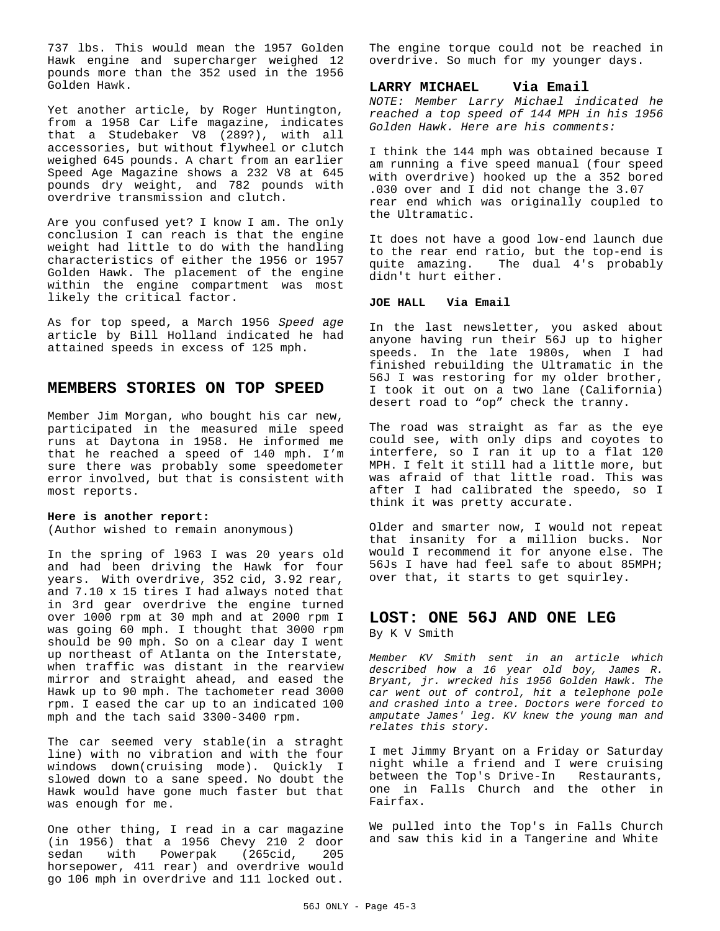737 lbs. This would mean the 1957 Golden Hawk engine and supercharger weighed 12 pounds more than the 352 used in the 1956 Golden Hawk.

Yet another article, by Roger Huntington, from a 1958 Car Life magazine, indicates that a Studebaker V8 (289?), with all accessories, but without flywheel or clutch weighed 645 pounds. A chart from an earlier Speed Age Magazine shows a 232 V8 at 645 pounds dry weight, and 782 pounds with overdrive transmission and clutch.

Are you confused yet? I know I am. The only conclusion I can reach is that the engine weight had little to do with the handling characteristics of either the 1956 or 1957 Golden Hawk. The placement of the engine within the engine compartment was most likely the critical factor.

As for top speed, a March 1956 *Speed age* article by Bill Holland indicated he had attained speeds in excess of 125 mph.

## **MEMBERS STORIES ON TOP SPEED**

Member Jim Morgan, who bought his car new, participated in the measured mile speed runs at Daytona in 1958. He informed me that he reached a speed of 140 mph. I'm sure there was probably some speedometer error involved, but that is consistent with most reports.

#### **Here is another report:**

(Author wished to remain anonymous)

In the spring of l963 I was 20 years old and had been driving the Hawk for four years. With overdrive, 352 cid, 3.92 rear, and 7.10 x 15 tires I had always noted that in 3rd gear overdrive the engine turned over 1000 rpm at 30 mph and at 2000 rpm I was going 60 mph. I thought that 3000 rpm should be 90 mph. So on a clear day I went up northeast of Atlanta on the Interstate, when traffic was distant in the rearview mirror and straight ahead, and eased the Hawk up to 90 mph. The tachometer read 3000 rpm. I eased the car up to an indicated 100 mph and the tach said 3300-3400 rpm.

The car seemed very stable(in a straght line) with no vibration and with the four windows down(cruising mode). Quickly I slowed down to a sane speed. No doubt the Hawk would have gone much faster but that was enough for me.

One other thing, I read in a car magazine  $(in 1956)$  that a 1956 Chevy 210  $2$  door sedan with Powerpak (265cid, 205) sedan with Powerpak (265cid, horsepower, 411 rear) and overdrive would go 106 mph in overdrive and 111 locked out.

The engine torque could not be reached in overdrive. So much for my younger days.

#### **LARRY MICHAEL Via Email**

*NOTE: Member Larry Michael indicated he reached a top speed of 144 MPH in his 1956 Golden Hawk. Here are his comments:*

I think the 144 mph was obtained because I am running a five speed manual (four speed with overdrive) hooked up the a 352 bored .030 over and I did not change the 3.07 rear end which was originally coupled to the Ultramatic.

It does not have a good low-end launch due to the rear end ratio, but the top-end is quite amazing. The dual 4's probably didn't hurt either.

#### **JOE HALL Via Email**

In the last newsletter, you asked about anyone having run their 56J up to higher speeds. In the late 1980s, when I had finished rebuilding the Ultramatic in the 56J I was restoring for my older brother, I took it out on a two lane (California) desert road to "op" check the tranny.

The road was straight as far as the eye could see, with only dips and coyotes to interfere, so I ran it up to a flat 120 MPH. I felt it still had a little more, but was afraid of that little road. This was after I had calibrated the speedo, so I think it was pretty accurate.

Older and smarter now, I would not repeat that insanity for a million bucks. Nor would I recommend it for anyone else. The 56Js I have had feel safe to about 85MPH; over that, it starts to get squirley.

## **LOST: ONE 56J AND ONE LEG** By K V Smith

*Member KV Smith sent in an article which described how a 16 year old boy, James R. Bryant, jr. wrecked his 1956 Golden Hawk. The car went out of control, hit a telephone pole and crashed into a tree. Doctors were forced to amputate James' leg. KV knew the young man and relates this story.*

I met Jimmy Bryant on a Friday or Saturday night while a friend and I were cruising between the Top's Drive-In Restaurants, one in Falls Church and the other in Fairfax.

We pulled into the Top's in Falls Church and saw this kid in a Tangerine and White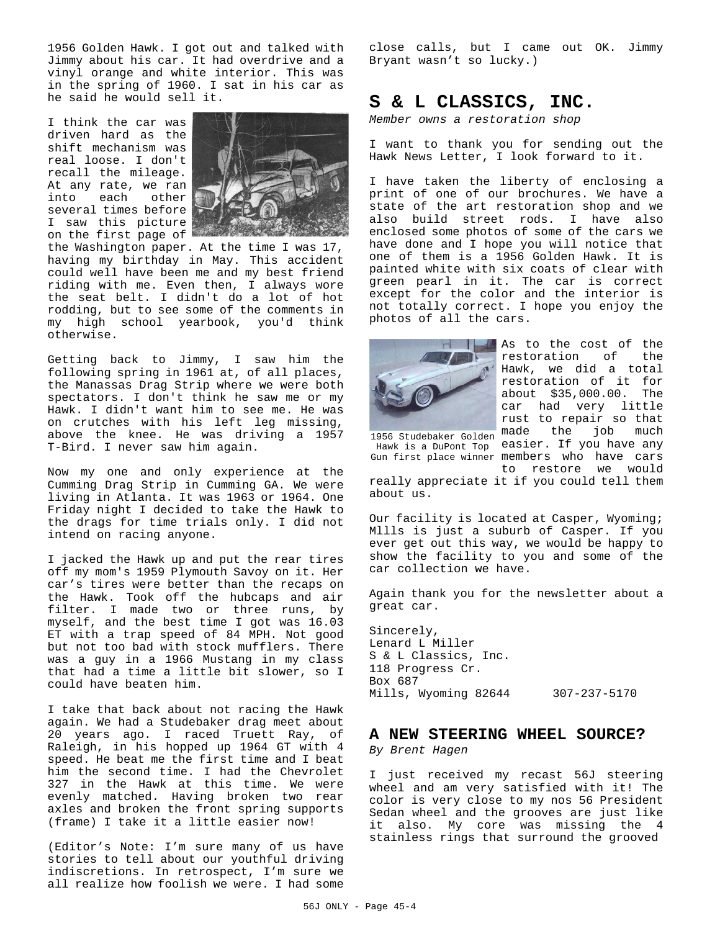1956 Golden Hawk. I got out and talked with Jimmy about his car. It had overdrive and a vinyl orange and white interior. This was in the spring of 1960. I sat in his car as he said he would sell it.

I think the car was driven hard as the shift mechanism was real loose. I don't recall the mileage. At any rate, we ran into each other several times before I saw this picture on the first page of



the Washington paper. At the time I was 17, having my birthday in May. This accident could well have been me and my best friend riding with me. Even then, I always wore the seat belt. I didn't do a lot of hot rodding, but to see some of the comments in my high school yearbook, you'd think otherwise.

Getting back to Jimmy, I saw him the following spring in 1961 at, of all places, the Manassas Drag Strip where we were both spectators. I don't think he saw me or my Hawk. I didn't want him to see me. He was on crutches with his left leg missing, above the knee. He was driving a 1957 T-Bird. I never saw him again.

Now my one and only experience at the Cumming Drag Strip in Cumming GA. We were living in Atlanta. It was 1963 or 1964. One Friday night I decided to take the Hawk to the drags for time trials only. I did not intend on racing anyone.

I jacked the Hawk up and put the rear tires off my mom's 1959 Plymouth Savoy on it. Her car's tires were better than the recaps on the Hawk. Took off the hubcaps and air filter. I made two or three runs, by myself, and the best time I got was 16.03 ET with a trap speed of 84 MPH. Not good but not too bad with stock mufflers. There was a guy in a 1966 Mustang in my class that had a time a little bit slower, so I could have beaten him.

I take that back about not racing the Hawk again. We had a Studebaker drag meet about 20 years ago. I raced Truett Ray, of Raleigh, in his hopped up 1964 GT with 4 speed. He beat me the first time and I beat him the second time. I had the Chevrolet 327 in the Hawk at this time. We were evenly matched. Having broken two rear axles and broken the front spring supports (frame) I take it a little easier now!

(Editor's Note: I'm sure many of us have stories to tell about our youthful driving indiscretions. In retrospect, I'm sure we all realize how foolish we were. I had some

close calls, but I came out OK. Jimmy Bryant wasn't so lucky.)

# **S & L CLASSICS, INC.**

*Member owns a restoration shop*

I want to thank you for sending out the Hawk News Letter, I look forward to it.

I have taken the liberty of enclosing a print of one of our brochures. We have a state of the art restoration shop and we also build street rods. I have also enclosed some photos of some of the cars we have done and I hope you will notice that one of them is a 1956 Golden Hawk. It is painted white with six coats of clear with green pearl in it. The car is correct except for the color and the interior is not totally correct. I hope you enjoy the photos of all the cars.



1956 Studebaker Golden made the job much Hawk is a DuPont Top easier. If you have any Gun first place winner members who have cars As to the cost of the restoration of the Hawk, we did a total restoration of it for about \$35,000.00. The car had very little rust to repair so that to restore we would

really appreciate it if you could tell them about us.

Our facility is located at Casper, Wyoming; Mllls is just a suburb of Casper. If you ever get out this way, we would be happy to show the facility to you and some of the car collection we have.

Again thank you for the newsletter about a great car.

Sincerely, Lenard L Miller S & L Classics, Inc. 118 Progress Cr. Box 687 Mills, Wyoming 82644 307-237-5170

## **A NEW STEERING WHEEL SOURCE?**

*By Brent Hagen*

I just received my recast 56J steering wheel and am very satisfied with it! The color is very close to my nos 56 President Sedan wheel and the grooves are just like it also. My core was missing the 4 stainless rings that surround the grooved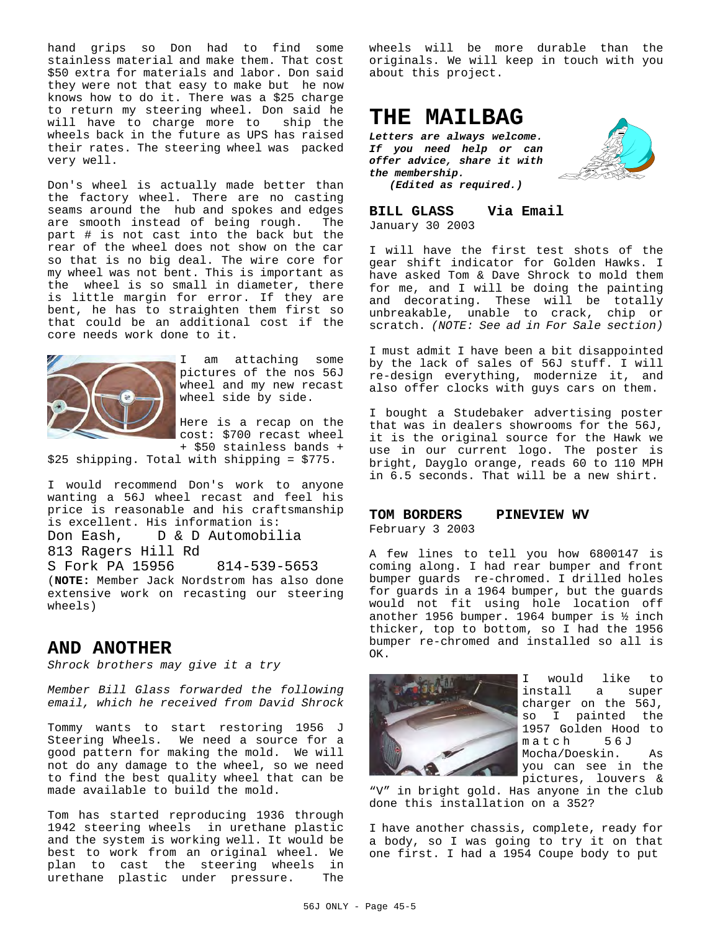hand grips so Don had to find some stainless material and make them. That cost \$50 extra for materials and labor. Don said they were not that easy to make but he now knows how to do it. There was a \$25 charge to return my steering wheel. Don said he will have to charge more to ship the wheels back in the future as UPS has raised their rates. The steering wheel was packed very well.

Don's wheel is actually made better than the factory wheel. There are no casting seams around the hub and spokes and edges are smooth instead of being rough. The part # is not cast into the back but the rear of the wheel does not show on the car so that is no big deal. The wire core for my wheel was not bent. This is important as the wheel is so small in diameter, there is little margin for error. If they are bent, he has to straighten them first so that could be an additional cost if the core needs work done to it.



I am attaching some pictures of the nos 56J wheel and my new recast wheel side by side.

Here is a recap on the cost: \$700 recast wheel + \$50 stainless bands +

\$25 shipping. Total with shipping = \$775.

I would recommend Don's work to anyone wanting a 56J wheel recast and feel his price is reasonable and his craftsmanship is excellent. His information is: Don Eash, D & D Automobilia 813 Ragers Hill Rd S Fork PA 15956 814-539-5653 (**NOTE:** Member Jack Nordstrom has also done extensive work on recasting our steering

## **AND ANOTHER**

wheels)

*Shrock brothers may give it a try* 

*Member Bill Glass forwarded the following email, which he received from David Shrock*

Tommy wants to start restoring 1956 J Steering Wheels. We need a source for a good pattern for making the mold. We will not do any damage to the wheel, so we need to find the best quality wheel that can be made available to build the mold.

Tom has started reproducing 1936 through 1942 steering wheels in urethane plastic and the system is working well. It would be best to work from an original wheel. We plan to cast the steering wheels in urethane plastic under pressure. The

wheels will be more durable than the originals. We will keep in touch with you about this project.

# **THE MAILBAG**

*Letters are always welcome. If you need help or can offer advice, share it with the membership.*

*(Edited as required.)*

**BILL GLASS Via Email** January 30 2003

I will have the first test shots of the gear shift indicator for Golden Hawks. I have asked Tom & Dave Shrock to mold them for me, and I will be doing the painting and decorating. These will be totally unbreakable, unable to crack, chip or scratch. *(NOTE: See ad in For Sale section)*

I must admit I have been a bit disappointed by the lack of sales of 56J stuff. I will re-design everything, modernize it, and also offer clocks with guys cars on them.

I bought a Studebaker advertising poster that was in dealers showrooms for the 56J, it is the original source for the Hawk we use in our current logo. The poster is bright, Dayglo orange, reads 60 to 110 MPH in 6.5 seconds. That will be a new shirt.

#### **TOM BORDERS PINEVIEW WV**

February 3 2003

A few lines to tell you how 6800147 is coming along. I had rear bumper and front bumper guards re-chromed. I drilled holes for guards in a 1964 bumper, but the guards would not fit using hole location off another 1956 bumper. 1964 bumper is ½ inch thicker, top to bottom, so I had the 1956 bumper re-chromed and installed so all is OK.



I would like to install a super charger on the 56J, so I painted the 1957 Golden Hood to match 56J Mocha/Doeskin. As you can see in the pictures, louvers &

"V" in bright gold. Has anyone in the club done this installation on a 352?

I have another chassis, complete, ready for a body, so I was going to try it on that one first. I had a 1954 Coupe body to put

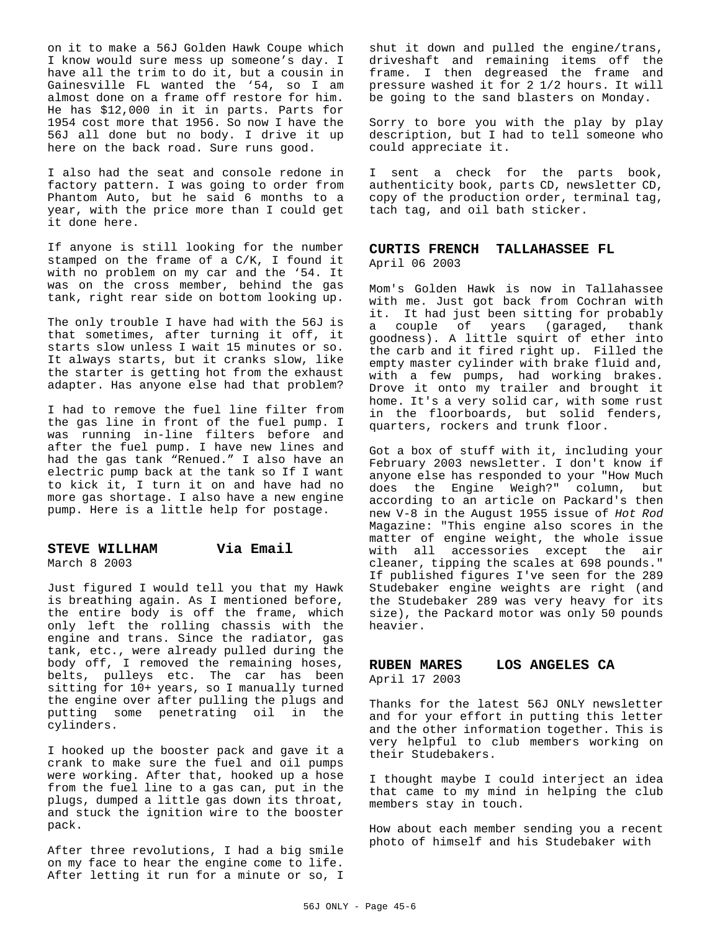on it to make a 56J Golden Hawk Coupe which I know would sure mess up someone's day. I have all the trim to do it, but a cousin in Gainesville FL wanted the '54, so I am almost done on a frame off restore for him. He has \$12,000 in it in parts. Parts for 1954 cost more that 1956. So now I have the 56J all done but no body. I drive it up here on the back road. Sure runs good.

I also had the seat and console redone in factory pattern. I was going to order from Phantom Auto, but he said 6 months to a year, with the price more than I could get it done here.

If anyone is still looking for the number stamped on the frame of  $a^C/K$ , I found it with no problem on my car and the '54. It was on the cross member, behind the gas tank, right rear side on bottom looking up.

The only trouble I have had with the 56J is that sometimes, after turning it off, it starts slow unless I wait 15 minutes or so. It always starts, but it cranks slow, like the starter is getting hot from the exhaust adapter. Has anyone else had that problem?

I had to remove the fuel line filter from the gas line in front of the fuel pump. I was running in-line filters before and after the fuel pump. I have new lines and had the gas tank "Renued." I also have an electric pump back at the tank so If I want to kick it, I turn it on and have had no more gas shortage. I also have a new engine pump. Here is a little help for postage.

### **STEVE WILLHAM Via Email**

March 8 2003

Just figured I would tell you that my Hawk is breathing again. As I mentioned before, the entire body is off the frame, which only left the rolling chassis with the engine and trans. Since the radiator, gas tank, etc., were already pulled during the body off, I removed the remaining hoses, belts, pulleys etc. The car has been sitting for 10+ years, so I manually turned the engine over after pulling the plugs and putting some penetrating oil in the cylinders.

I hooked up the booster pack and gave it a crank to make sure the fuel and oil pumps were working. After that, hooked up a hose from the fuel line to a gas can, put in the plugs, dumped a little gas down its throat, and stuck the ignition wire to the booster pack.

After three revolutions, I had a big smile on my face to hear the engine come to life. After letting it run for a minute or so, I

shut it down and pulled the engine/trans, driveshaft and remaining items off the frame. I then degreased the frame and pressure washed it for 2 1/2 hours. It will be going to the sand blasters on Monday.

Sorry to bore you with the play by play description, but I had to tell someone who could appreciate it.

I sent a check for the parts book, authenticity book, parts CD, newsletter CD, copy of the production order, terminal tag, tach tag, and oil bath sticker.

#### **CURTIS FRENCH TALLAHASSEE FL** April 06 2003

Mom's Golden Hawk is now in Tallahassee with me. Just got back from Cochran with it. It had just been sitting for probably a couple of years (garaged, thank goodness). A little squirt of ether into the carb and it fired right up. Filled the empty master cylinder with brake fluid and, with a few pumps, had working brakes. Drove it onto my trailer and brought it home. It's a very solid car, with some rust in the floorboards, but solid fenders, quarters, rockers and trunk floor.

Got a box of stuff with it, including your February 2003 newsletter. I don't know if anyone else has responded to your "How Much does the Engine Weigh?" column, but according to an article on Packard's then new V-8 in the August 1955 issue of *Hot Rod* Magazine: "This engine also scores in the matter of engine weight, the whole issue with all accessories except the air cleaner, tipping the scales at 698 pounds." If published figures I've seen for the 289 Studebaker engine weights are right (and the Studebaker 289 was very heavy for its size), the Packard motor was only 50 pounds heavier.

## **RUBEN MARES LOS ANGELES CA**

April 17 2003

Thanks for the latest 56J ONLY newsletter and for your effort in putting this letter and the other information together. This is very helpful to club members working on their Studebakers.

I thought maybe I could interject an idea that came to my mind in helping the club members stay in touch.

How about each member sending you a recent photo of himself and his Studebaker with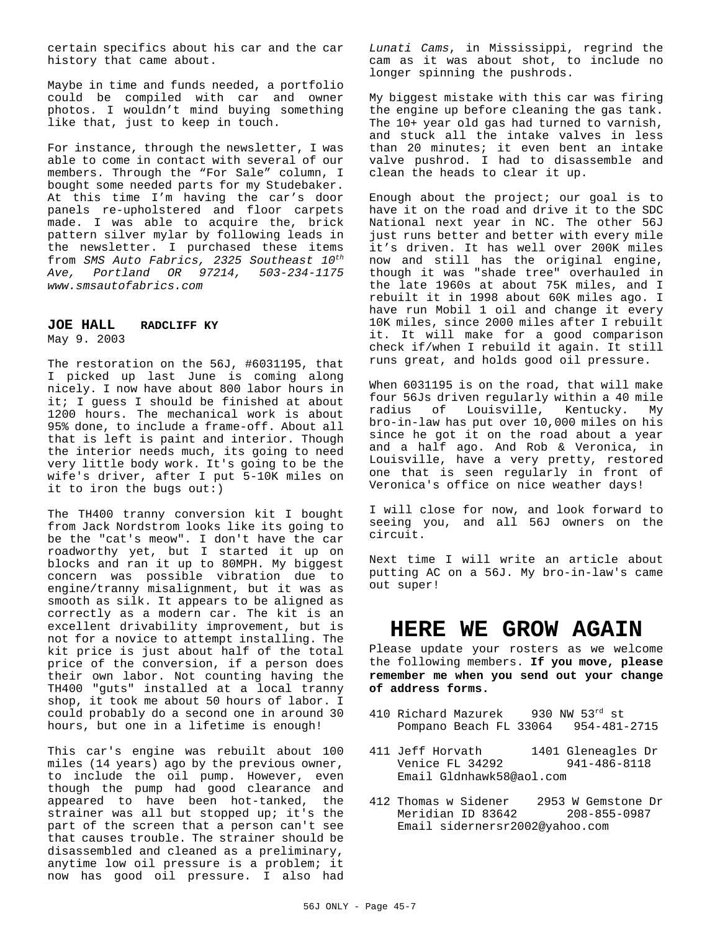certain specifics about his car and the car history that came about.

Maybe in time and funds needed, a portfolio could be compiled with car and owner photos. I wouldn't mind buying something like that, just to keep in touch.

For instance, through the newsletter, I was able to come in contact with several of our members. Through the "For Sale" column, I bought some needed parts for my Studebaker. At this time I'm having the car's door panels re-upholstered and floor carpets made. I was able to acquire the, brick pattern silver mylar by following leads in the newsletter. I purchased these items from *SMS Auto Fabrics, 2325 Southeast 10th Ave, Portland OR 97214, 503-234-1175 www.smsautofabrics.com*

#### **JOE HALL RADCLIFF KY** May 9. 2003

The restoration on the 56J, #6031195, that I picked up last June is coming along nicely. I now have about 800 labor hours in it; I guess I should be finished at about 1200 hours. The mechanical work is about 95% done, to include a frame-off. About all that is left is paint and interior. Though the interior needs much, its going to need very little body work. It's going to be the wife's driver, after I put 5-10K miles on it to iron the bugs out:)

The TH400 tranny conversion kit I bought from Jack Nordstrom looks like its going to be the "cat's meow". I don't have the car roadworthy yet, but I started it up on blocks and ran it up to 80MPH. My biggest concern was possible vibration due to engine/tranny misalignment, but it was as smooth as silk. It appears to be aligned as correctly as a modern car. The kit is an excellent drivability improvement, but is not for a novice to attempt installing. The kit price is just about half of the total price of the conversion, if a person does their own labor. Not counting having the TH400 "guts" installed at a local tranny shop, it took me about 50 hours of labor. I could probably do a second one in around 30 hours, but one in a lifetime is enough!

This car's engine was rebuilt about 100 miles (14 years) ago by the previous owner, to include the oil pump. However, even though the pump had good clearance and appeared to have been hot-tanked, the strainer was all but stopped up; it's the part of the screen that a person can't see that causes trouble. The strainer should be disassembled and cleaned as a preliminary, anytime low oil pressure is a problem; it now has good oil pressure. I also had *Lunati Cams*, in Mississippi, regrind the cam as it was about shot, to include no longer spinning the pushrods.

My biggest mistake with this car was firing the engine up before cleaning the gas tank. The 10+ year old gas had turned to varnish, and stuck all the intake valves in less than 20 minutes; it even bent an intake valve pushrod. I had to disassemble and clean the heads to clear it up.

Enough about the project; our goal is to have it on the road and drive it to the SDC National next year in NC. The other 56J just runs better and better with every mile it's driven. It has well over 200K miles now and still has the original engine, though it was "shade tree" overhauled in the late 1960s at about 75K miles, and I rebuilt it in 1998 about 60K miles ago. I have run Mobil 1 oil and change it every 10K miles, since 2000 miles after I rebuilt it. It will make for a good comparison check if/when I rebuild it again. It still runs great, and holds good oil pressure.

When 6031195 is on the road, that will make four 56Js driven regularly within a 40 mile radius of Louisville, Kentucky. My bro-in-law has put over 10,000 miles on his since he got it on the road about a year and a half ago. And Rob & Veronica, in Louisville, have a very pretty, restored one that is seen regularly in front of Veronica's office on nice weather days!

I will close for now, and look forward to seeing you, and all 56J owners on the circuit.

Next time I will write an article about putting AC on a 56J. My bro-in-law's came out super!

# **HERE WE GROW AGAIN**

Please update your rosters as we welcome the following members. **If you move, please remember me when you send out your change of address forms.**

- 410 Richard Mazurek 930 NW 53rd st Pompano Beach FL 33064 954-481-2715
- 411 Jeff Horvath 1401 Gleneagles Dr<br>Venice FL 34292 941-486-8118 Venice FL 34292 Email Gldnhawk58@aol.com
- 412 Thomas w Sidener 2953 W Gemstone Dr Meridian ID 83642 Email sidernersr2002@yahoo.com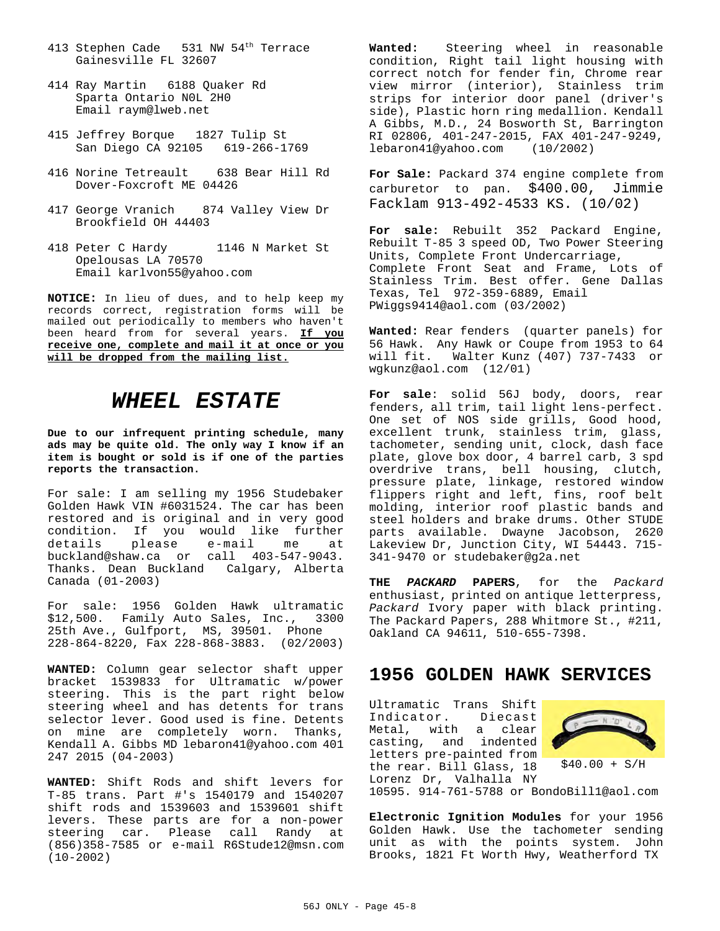- 413 Stephen Cade 531 NW 54<sup>th</sup> Terrace Gainesville FL 32607
- 414 Ray Martin 6188 Quaker Rd Sparta Ontario N0L 2H0 Email raym@lweb.net
- 415 Jeffrey Borque 1827 Tulip St San Diego CA 92105 619-266-1769
- 416 Norine Tetreault 638 Bear Hill Rd Dover-Foxcroft ME 04426
- 417 George Vranich 874 Valley View Dr Brookfield OH 44403
- 418 Peter C Hardy 1146 N Market St Opelousas LA 70570 Email karlvon55@yahoo.com

**NOTICE:** In lieu of dues, and to help keep my records correct, registration forms will be mailed out periodically to members who haven't been heard from for several years. **If you receive one, complete and mail it at once or you will be dropped from the mailing list.**

# *WHEEL ESTATE*

**Due to our infrequent printing schedule, many ads may be quite old. The only way I know if an item is bought or sold is if one of the parties reports the transaction.**

For sale: I am selling my 1956 Studebaker Golden Hawk VIN #6031524. The car has been restored and is original and in very good condition. If you would like further details please e-mail me at buckland@shaw.ca or call 403-547-9043. Thanks. Dean Buckland Calgary, Alberta Canada (01-2003)

For sale: 1956 Golden Hawk ultramatic \$12,500. Family Auto Sales, Inc., 3300 25th Ave., Gulfport, MS, 39501. Phone 228-864-8220, Fax 228-868-3883. (02/2003)

**WANTED:** Column gear selector shaft upper bracket 1539833 for Ultramatic w/power steering. This is the part right below steering wheel and has detents for trans selector lever. Good used is fine. Detents on mine are completely worn. Thanks, Kendall A. Gibbs MD lebaron41@yahoo.com 401 247 2015 (04-2003)

**WANTED:** Shift Rods and shift levers for T-85 trans. Part #'s 1540179 and 1540207 shift rods and 1539603 and 1539601 shift levers. These parts are for a non-power steering car. Please call Randy at (856)358-7585 or e-mail R6Stude12@msn.com (10-2002)

**Wanted:** Steering wheel in reasonable condition, Right tail light housing with correct notch for fender fin, Chrome rear view mirror (interior), Stainless trim strips for interior door panel (driver's side), Plastic horn ring medallion. Kendall A Gibbs, M.D., 24 Bosworth St, Barrington RI 02806, 401-247-2015, FAX 401-247-9249,<br>lebaron41@yahoo.com (10/2002) lebaron41@yahoo.com (10/2002)

**For Sale:** Packard 374 engine complete from carburetor to pan. \$400.00, Jimmie Facklam 913-492-4533 KS. (10/02)

**For sale:** Rebuilt 352 Packard Engine, Rebuilt T-85 3 speed OD, Two Power Steering Units, Complete Front Undercarriage, Complete Front Seat and Frame, Lots of Stainless Trim. Best offer. Gene Dallas Texas, Tel 972-359-6889, Email PWiggs9414@aol.com (03/2002)

**Wanted:** Rear fenders (quarter panels) for 56 Hawk. Any Hawk or Coupe from 1953 to 64 will fit. Walter Kunz (407) 737-7433 or wgkunz@aol.com (12/01)

**For sale**: solid 56J body, doors, rear fenders, all trim, tail light lens-perfect. One set of NOS side grills, Good hood, excellent trunk, stainless trim, glass, tachometer, sending unit, clock, dash face plate, glove box door, 4 barrel carb, 3 spd overdrive trans, bell housing, clutch, pressure plate, linkage, restored window flippers right and left, fins, roof belt molding, interior roof plastic bands and steel holders and brake drums. Other STUDE parts available. Dwayne Jacobson, 2620 Lakeview Dr, Junction City, WI 54443. 715- 341-9470 or studebaker@g2a.net

**THE** *PACKARD* **PAPERS**, for the *Packard* enthusiast, printed on antique letterpress, *Packard* Ivory paper with black printing. The Packard Papers, 288 Whitmore St., #211, Oakland CA 94611, 510-655-7398.

# **1956 GOLDEN HAWK SERVICES**

Ultramatic Trans Shift Indicator. Diecast Metal, with a clear casting, and indented letters pre-painted from the rear. Bill Glass, 18 Lorenz Dr, Valhalla NY



10595. 914-761-5788 or BondoBill1@aol.com

**Electronic Ignition Modules** for your 1956 Golden Hawk. Use the tachometer sending unit as with the points system. John Brooks, 1821 Ft Worth Hwy, Weatherford TX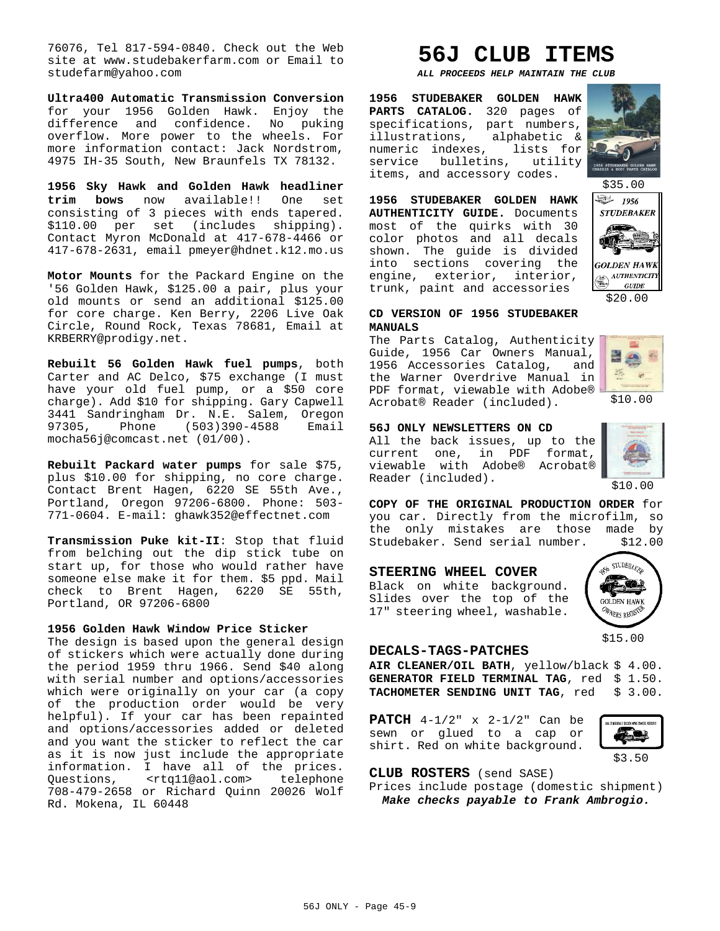76076, Tel 817-594-0840. Check out the Web site at www.studebakerfarm.com or Email to studefarm@yahoo.com

**Ultra400 Automatic Transmission Conversion** for your 1956 Golden Hawk. Enjoy the difference and confidence. No puking overflow. More power to the wheels. For more information contact: Jack Nordstrom, 4975 IH-35 South, New Braunfels TX 78132.

**1956 Sky Hawk and Golden Hawk headliner trim bows** now available!! One set consisting of 3 pieces with ends tapered. \$110.00 per set (includes shipping). Contact Myron McDonald at 417-678-4466 or 417-678-2631, email pmeyer@hdnet.k12.mo.us

**Motor Mounts** for the Packard Engine on the '56 Golden Hawk, \$125.00 a pair, plus your old mounts or send an additional \$125.00 for core charge. Ken Berry, 2206 Live Oak Circle, Round Rock, Texas 78681, Email at KRBERRY@prodigy.net.

**Rebuilt 56 Golden Hawk fuel pumps**, both Carter and AC Delco, \$75 exchange (I must have your old fuel pump, or a \$50 core charge). Add \$10 for shipping. Gary Capwell 3441 Sandringham Dr. N.E. Salem, Oregon 97305, Phone (503)390-4588 Email mocha56j@comcast.net (01/00).

**Rebuilt Packard water pumps** for sale \$75, plus \$10.00 for shipping, no core charge. Contact Brent Hagen, 6220 SE 55th Ave., Portland, Oregon 97206-6800. Phone: 503- 771-0604. E-mail: ghawk352@effectnet.com

**Transmission Puke kit-II**: Stop that fluid from belching out the dip stick tube on start up, for those who would rather have someone else make it for them. \$5 ppd. Mail check to Brent Hagen, 6220 SE 55th, Portland, OR 97206-6800

#### **1956 Golden Hawk Window Price Sticker**

The design is based upon the general design of stickers which were actually done during the period 1959 thru 1966. Send \$40 along with serial number and options/accessories which were originally on your car (a copy of the production order would be very helpful). If your car has been repainted and options/accessories added or deleted and you want the sticker to reflect the car as it is now just include the appropriate information. I have all of the prices. Questions, <rtq11@aol.com> telephone 708-479-2658 or Richard Quinn 20026 Wolf Rd. Mokena, IL 60448

# **56J CLUB ITEMS**

*ALL PROCEEDS HELP MAINTAIN THE CLUB*

**1956 STUDEBAKER GOLDEN HAWK PARTS CATALOG.** 320 pages of specifications, part numbers, illustrations, alphabetic & numeric indexes, lists for service bulletins, utility items, and accessory codes.

**1956 STUDEBAKER GOLDEN HAWK AUTHENTICITY GUIDE.** Documents most of the quirks with 30 color photos and all decals shown. The guide is divided into sections covering the engine, exterior, interior, trunk, paint and accessories





#### **CD VERSION OF 1956 STUDEBAKER MANUALS**

The Parts Catalog, Authenticity Guide, 1956 Car Owners Manual, 1956 Accessories Catalog, and the Warner Overdrive Manual in PDF format, viewable with Adobe® Acrobat® Reader (included).



\$10.00

#### **56J ONLY NEWSLETTERS ON CD**

All the back issues, up to the current one, in PDF format, viewable with Adobe® Acrobat® Reader (included).



\$10.00

**COPY OF THE ORIGINAL PRODUCTION ORDER** for you car. Directly from the microfilm, so the only mistakes are those made by Studebaker. Send serial number. \$12.00

#### **STEERING WHEEL COVER**

Black on white background. Slides over the top of the 17" steering wheel, washable.



#### **DECALS-TAGS-PATCHES**

**AIR CLEANER/OIL BATH**, yellow/black \$ 4.00. GENERATOR FIELD TERMINAL TAG, red \$ 1.50. TACHOMETER SENDING UNIT TAG, red \$ 3.00.

**PATCH** 4-1/2" x 2-1/2" Can be sewn or glued to a cap or shirt. Red on white background.



**CLUB ROSTERS** (send SASE)

Prices include postage (domestic shipment) *Make checks payable to Frank Ambrogio.*